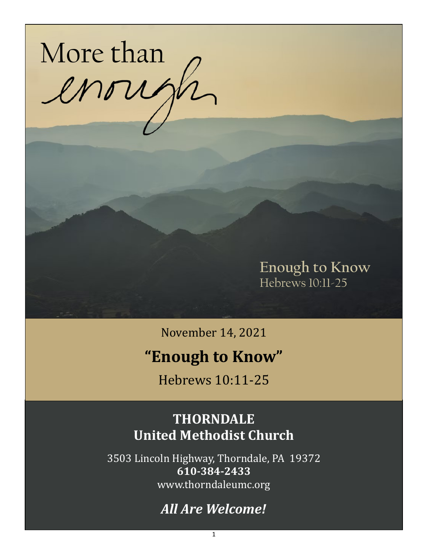

**Enough to Know** Hebrews 10:11-25

November 14, 2021

# **"Enough to Know"**

Hebrews 10:11-25

## **THORNDALE United Methodist Church**

3503 Lincoln Highway, Thorndale, PA 19372 **610-384-2433** www.thorndaleumc.org

## *All Are Welcome!*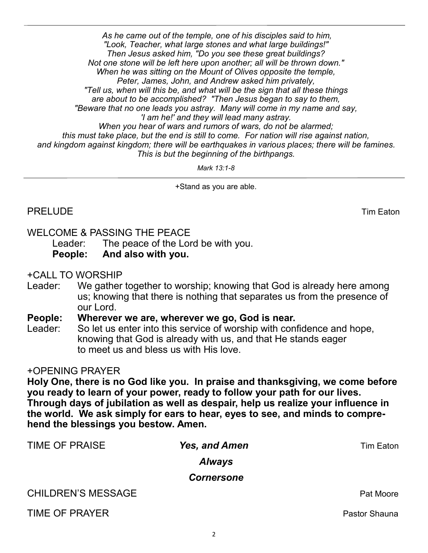*As he came out of the temple, one of his disciples said to him, "Look, Teacher, what large stones and what large buildings!" Then Jesus asked him, "Do you see these great buildings? Not one stone will be left here upon another; all will be thrown down." When he was sitting on the Mount of Olives opposite the temple, Peter, James, John, and Andrew asked him privately, "Tell us, when will this be, and what will be the sign that all these things are about to be accomplished? "Then Jesus began to say to them, "Beware that no one leads you astray. Many will come in my name and say, 'I am he!' and they will lead many astray. When you hear of wars and rumors of wars, do not be alarmed; this must take place, but the end is still to come. For nation will rise against nation, and kingdom against kingdom; there will be earthquakes in various places; there will be famines. This is but the beginning of the birthpangs.* 

*Mark 13:1-8*

+Stand as you are able.

#### WELCOME & PASSING THE PEACE

Leader: The peace of the Lord be with you. **People: And also with you.**

+CALL TO WORSHIP

Leader: We gather together to worship; knowing that God is already here among us; knowing that there is nothing that separates us from the presence of our Lord.

**People: Wherever we are, wherever we go, God is near.**

Leader: So let us enter into this service of worship with confidence and hope, knowing that God is already with us, and that He stands eager to meet us and bless us with His love.

#### +OPENING PRAYER

**Holy One, there is no God like you. In praise and thanksgiving, we come before you ready to learn of your power, ready to follow your path for our lives. Through days of jubilation as well as despair, help us realize your influence in the world. We ask simply for ears to hear, eyes to see, and minds to comprehend the blessings you bestow. Amen.** 

| <b>Yes, and Amen</b> | Tim Eaton            |
|----------------------|----------------------|
| <b>Always</b>        |                      |
| <b>Cornersone</b>    |                      |
|                      | Pat Moore            |
|                      | <b>Pastor Shauna</b> |
|                      |                      |